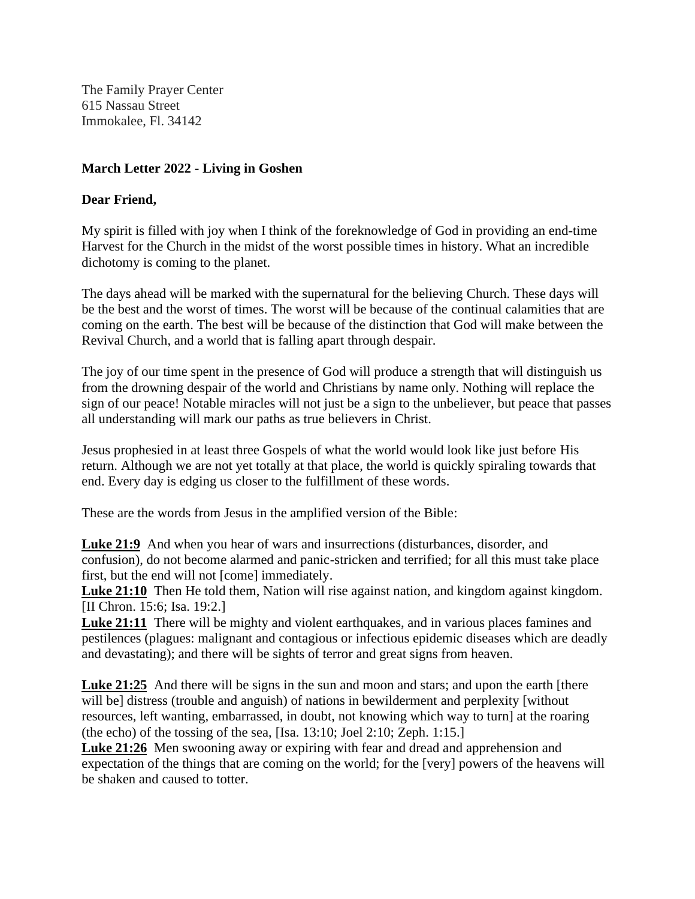The Family Prayer Center 615 Nassau Street Immokalee, Fl. 34142

# **March Letter 2022 - Living in Goshen**

### **Dear Friend,**

My spirit is filled with joy when I think of the foreknowledge of God in providing an end-time Harvest for the Church in the midst of the worst possible times in history. What an incredible dichotomy is coming to the planet.

The days ahead will be marked with the supernatural for the believing Church. These days will be the best and the worst of times. The worst will be because of the continual calamities that are coming on the earth. The best will be because of the distinction that God will make between the Revival Church, and a world that is falling apart through despair.

The joy of our time spent in the presence of God will produce a strength that will distinguish us from the drowning despair of the world and Christians by name only. Nothing will replace the sign of our peace! Notable miracles will not just be a sign to the unbeliever, but peace that passes all understanding will mark our paths as true believers in Christ.

Jesus prophesied in at least three Gospels of what the world would look like just before His return. Although we are not yet totally at that place, the world is quickly spiraling towards that end. Every day is edging us closer to the fulfillment of these words.

These are the words from Jesus in the amplified version of the Bible:

**Luke 21:9** And when you hear of wars and insurrections (disturbances, disorder, and confusion), do not become alarmed and panic-stricken and terrified; for all this must take place first, but the end will not [come] immediately.

**Luke 21:10** Then He told them, Nation will rise against nation, and kingdom against kingdom. [II Chron. 15:6; Isa. 19:2.]

**Luke 21:11** There will be mighty and violent earthquakes, and in various places famines and pestilences (plagues: malignant and contagious or infectious epidemic diseases which are deadly and devastating); and there will be sights of terror and great signs from heaven.

Luke 21:25 And there will be signs in the sun and moon and stars; and upon the earth [there will bel distress (trouble and anguish) of nations in bewilderment and perplexity [without] resources, left wanting, embarrassed, in doubt, not knowing which way to turn] at the roaring (the echo) of the tossing of the sea, [Isa. 13:10; Joel 2:10; Zeph. 1:15.]

**Luke 21:26** Men swooning away or expiring with fear and dread and apprehension and expectation of the things that are coming on the world; for the [very] powers of the heavens will be shaken and caused to totter.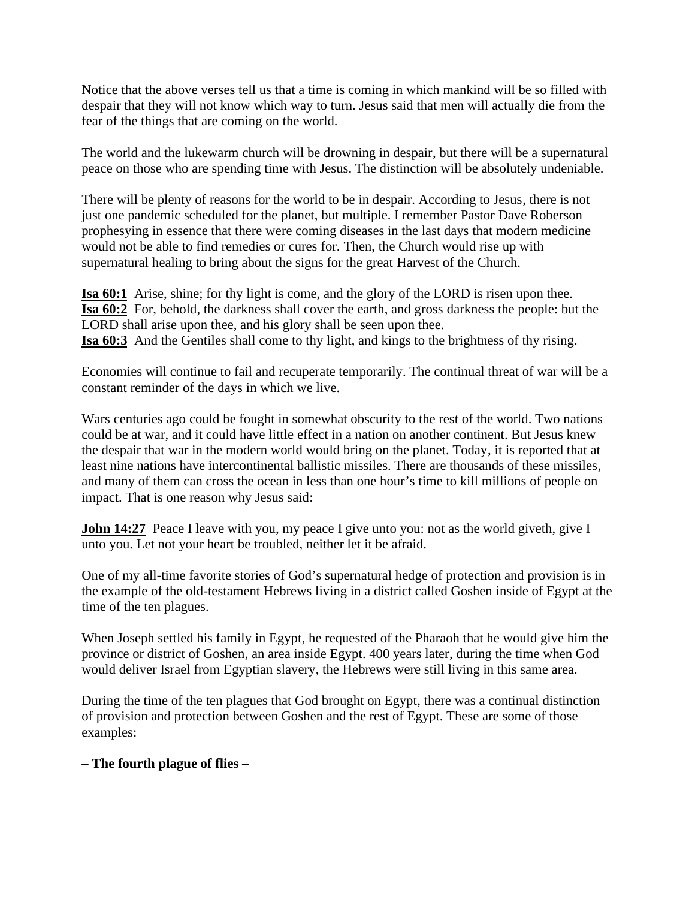Notice that the above verses tell us that a time is coming in which mankind will be so filled with despair that they will not know which way to turn. Jesus said that men will actually die from the fear of the things that are coming on the world.

The world and the lukewarm church will be drowning in despair, but there will be a supernatural peace on those who are spending time with Jesus. The distinction will be absolutely undeniable.

There will be plenty of reasons for the world to be in despair. According to Jesus, there is not just one pandemic scheduled for the planet, but multiple. I remember Pastor Dave Roberson prophesying in essence that there were coming diseases in the last days that modern medicine would not be able to find remedies or cures for. Then, the Church would rise up with supernatural healing to bring about the signs for the great Harvest of the Church.

**Isa 60:1** Arise, shine; for thy light is come, and the glory of the LORD is risen upon thee. **Isa 60:2** For, behold, the darkness shall cover the earth, and gross darkness the people: but the LORD shall arise upon thee, and his glory shall be seen upon thee. **Isa 60:3** And the Gentiles shall come to thy light, and kings to the brightness of thy rising.

Economies will continue to fail and recuperate temporarily. The continual threat of war will be a constant reminder of the days in which we live.

Wars centuries ago could be fought in somewhat obscurity to the rest of the world. Two nations could be at war, and it could have little effect in a nation on another continent. But Jesus knew the despair that war in the modern world would bring on the planet. Today, it is reported that at least nine nations have intercontinental ballistic missiles. There are thousands of these missiles, and many of them can cross the ocean in less than one hour's time to kill millions of people on impact. That is one reason why Jesus said:

**John 14:27** Peace I leave with you, my peace I give unto you: not as the world giveth, give I unto you. Let not your heart be troubled, neither let it be afraid.

One of my all-time favorite stories of God's supernatural hedge of protection and provision is in the example of the old-testament Hebrews living in a district called Goshen inside of Egypt at the time of the ten plagues.

When Joseph settled his family in Egypt, he requested of the Pharaoh that he would give him the province or district of Goshen, an area inside Egypt. 400 years later, during the time when God would deliver Israel from Egyptian slavery, the Hebrews were still living in this same area.

During the time of the ten plagues that God brought on Egypt, there was a continual distinction of provision and protection between Goshen and the rest of Egypt. These are some of those examples:

**– The fourth plague of flies –**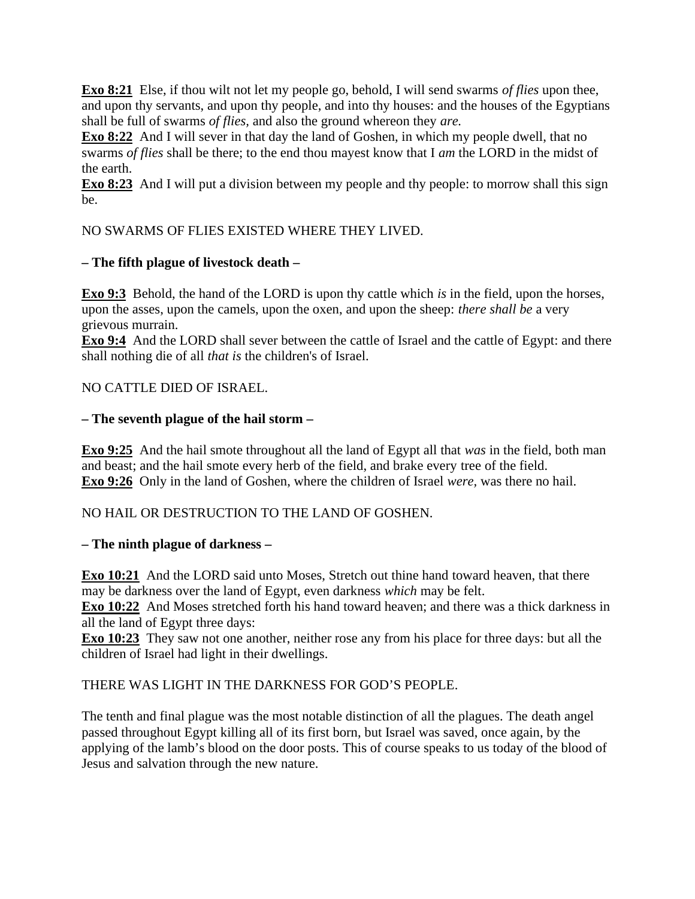**Exo 8:21** Else, if thou wilt not let my people go, behold, I will send swarms *of flies* upon thee, and upon thy servants, and upon thy people, and into thy houses: and the houses of the Egyptians shall be full of swarms *of flies,* and also the ground whereon they *are.*

**Exo 8:22** And I will sever in that day the land of Goshen, in which my people dwell, that no swarms *of flies* shall be there; to the end thou mayest know that I *am* the LORD in the midst of the earth.

**Exo 8:23** And I will put a division between my people and thy people: to morrow shall this sign be.

NO SWARMS OF FLIES EXISTED WHERE THEY LIVED.

# **– The fifth plague of livestock death –**

**Exo 9:3** Behold, the hand of the LORD is upon thy cattle which *is* in the field, upon the horses, upon the asses, upon the camels, upon the oxen, and upon the sheep: *there shall be* a very grievous murrain.

**Exo 9:4** And the LORD shall sever between the cattle of Israel and the cattle of Egypt: and there shall nothing die of all *that is* the children's of Israel.

# NO CATTLE DIED OF ISRAEL.

# **– The seventh plague of the hail storm –**

**Exo 9:25** And the hail smote throughout all the land of Egypt all that *was* in the field, both man and beast; and the hail smote every herb of the field, and brake every tree of the field. **Exo 9:26** Only in the land of Goshen, where the children of Israel *were,* was there no hail.

### NO HAIL OR DESTRUCTION TO THE LAND OF GOSHEN.

### **– The ninth plague of darkness –**

**Exo 10:21** And the LORD said unto Moses, Stretch out thine hand toward heaven, that there may be darkness over the land of Egypt, even darkness *which* may be felt.

**Exo 10:22** And Moses stretched forth his hand toward heaven; and there was a thick darkness in all the land of Egypt three days:

**Exo 10:23** They saw not one another, neither rose any from his place for three days: but all the children of Israel had light in their dwellings.

### THERE WAS LIGHT IN THE DARKNESS FOR GOD'S PEOPLE.

The tenth and final plague was the most notable distinction of all the plagues. The death angel passed throughout Egypt killing all of its first born, but Israel was saved, once again, by the applying of the lamb's blood on the door posts. This of course speaks to us today of the blood of Jesus and salvation through the new nature.